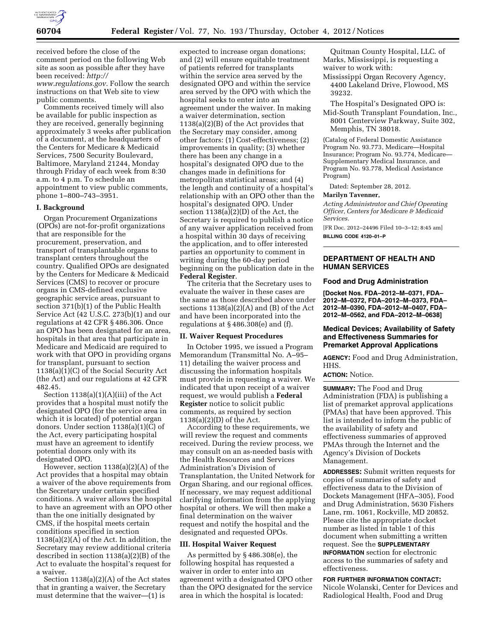

received before the close of the comment period on the following Web site as soon as possible after they have been received: *[http://](http://www.regulations.gov) [www.regulations.gov.](http://www.regulations.gov)* Follow the search instructions on that Web site to view public comments.

Comments received timely will also be available for public inspection as they are received, generally beginning approximately 3 weeks after publication of a document, at the headquarters of the Centers for Medicare & Medicaid Services, 7500 Security Boulevard, Baltimore, Maryland 21244, Monday through Friday of each week from 8:30 a.m. to 4 p.m. To schedule an appointment to view public comments, phone 1–800–743–3951.

# **I. Background**

Organ Procurement Organizations (OPOs) are not-for-profit organizations that are responsible for the procurement, preservation, and transport of transplantable organs to transplant centers throughout the country. Qualified OPOs are designated by the Centers for Medicare & Medicaid Services (CMS) to recover or procure organs in CMS-defined exclusive geographic service areas, pursuant to section 371(b)(1) of the Public Health Service Act (42 U.S.C. 273(b)(1) and our regulations at 42 CFR § 486.306. Once an OPO has been designated for an area, hospitals in that area that participate in Medicare and Medicaid are required to work with that OPO in providing organs for transplant, pursuant to section 1138(a)(1)(C) of the Social Security Act (the Act) and our regulations at 42 CFR 482.45.

Section 1138(a)(1)(A)(iii) of the Act provides that a hospital must notify the designated OPO (for the service area in which it is located) of potential organ donors. Under section 1138(a)(1)(C) of the Act, every participating hospital must have an agreement to identify potential donors only with its designated OPO.

However, section  $1138(a)(2)(A)$  of the Act provides that a hospital may obtain a waiver of the above requirements from the Secretary under certain specified conditions. A waiver allows the hospital to have an agreement with an OPO other than the one initially designated by CMS, if the hospital meets certain conditions specified in section 1138(a)(2)(A) of the Act. In addition, the Secretary may review additional criteria described in section 1138(a)(2)(B) of the Act to evaluate the hospital's request for a waiver.

Section 1138(a)(2)(A) of the Act states that in granting a waiver, the Secretary must determine that the waiver—(1) is

expected to increase organ donations; and (2) will ensure equitable treatment of patients referred for transplants within the service area served by the designated OPO and within the service area served by the OPO with which the hospital seeks to enter into an agreement under the waiver. In making a waiver determination, section 1138(a)(2)(B) of the Act provides that the Secretary may consider, among other factors: (1) Cost-effectiveness; (2) improvements in quality; (3) whether there has been any change in a hospital's designated OPO due to the changes made in definitions for metropolitan statistical areas; and (4) the length and continuity of a hospital's relationship with an OPO other than the hospital's designated OPO. Under section 1138(a)(2)(D) of the Act, the Secretary is required to publish a notice of any waiver application received from a hospital within 30 days of receiving the application, and to offer interested parties an opportunity to comment in writing during the 60-day period beginning on the publication date in the **Federal Register**.

The criteria that the Secretary uses to evaluate the waiver in these cases are the same as those described above under sections  $1138(a)(2)(A)$  and  $(B)$  of the Act and have been incorporated into the regulations at  $§$  486.308(e) and (f).

## **II. Waiver Request Procedures**

In October 1995, we issued a Program Memorandum (Transmittal No. A–95– 11) detailing the waiver process and discussing the information hospitals must provide in requesting a waiver. We indicated that upon receipt of a waiver request, we would publish a **Federal Register** notice to solicit public comments, as required by section 1138(a)(2)(D) of the Act.

According to these requirements, we will review the request and comments received. During the review process, we may consult on an as-needed basis with the Health Resources and Services Administration's Division of Transplantation, the United Network for Organ Sharing, and our regional offices. If necessary, we may request additional clarifying information from the applying hospital or others. We will then make a final determination on the waiver request and notify the hospital and the designated and requested OPOs.

## **III. Hospital Waiver Request**

As permitted by § 486.308(e), the following hospital has requested a waiver in order to enter into an agreement with a designated OPO other than the OPO designated for the service area in which the hospital is located:

Quitman County Hospital, LLC. of Marks, Mississippi, is requesting a waiver to work with:

- Mississippi Organ Recovery Agency, 4400 Lakeland Drive, Flowood, MS 39232.
- The Hospital's Designated OPO is:
- Mid-South Transplant Foundation, Inc., 8001 Centerview Parkway, Suite 302, Memphis, TN 38018.

(Catalog of Federal Domestic Assistance Program No. 93.773, Medicare—Hospital Insurance; Program No. 93.774, Medicare— Supplementary Medical Insurance, and Program No. 93.778, Medical Assistance Program)

Dated: September 28, 2012.

### **Marilyn Tavenner,**

*Acting Administrator and Chief Operating Officer, Centers for Medicare & Medicaid Services.* 

[FR Doc. 2012–24496 Filed 10–3–12; 8:45 am] **BILLING CODE 4120–01–P** 

# **DEPARTMENT OF HEALTH AND HUMAN SERVICES**

### **Food and Drug Administration**

**[Docket Nos. FDA–2012–M–0371, FDA– 2012–M–0372, FDA–2012–M–0373, FDA– 2012–M–0390, FDA–2012–M–0407, FDA– 2012–M–0562, and FDA–2012–M–0638]** 

# **Medical Devices; Availability of Safety and Effectiveness Summaries for Premarket Approval Applications**

**AGENCY:** Food and Drug Administration, HHS.

# **ACTION:** Notice.

**SUMMARY:** The Food and Drug Administration (FDA) is publishing a list of premarket approval applications (PMAs) that have been approved. This list is intended to inform the public of the availability of safety and effectiveness summaries of approved PMAs through the Internet and the Agency's Division of Dockets Management.

**ADDRESSES:** Submit written requests for copies of summaries of safety and effectiveness data to the Division of Dockets Management (HFA–305), Food and Drug Administration, 5630 Fishers Lane, rm. 1061, Rockville, MD 20852. Please cite the appropriate docket number as listed in table 1 of this document when submitting a written request. See the **SUPPLEMENTARY INFORMATION** section for electronic access to the summaries of safety and effectiveness.

# **FOR FURTHER INFORMATION CONTACT:**  Nicole Wolanski, Center for Devices and Radiological Health, Food and Drug